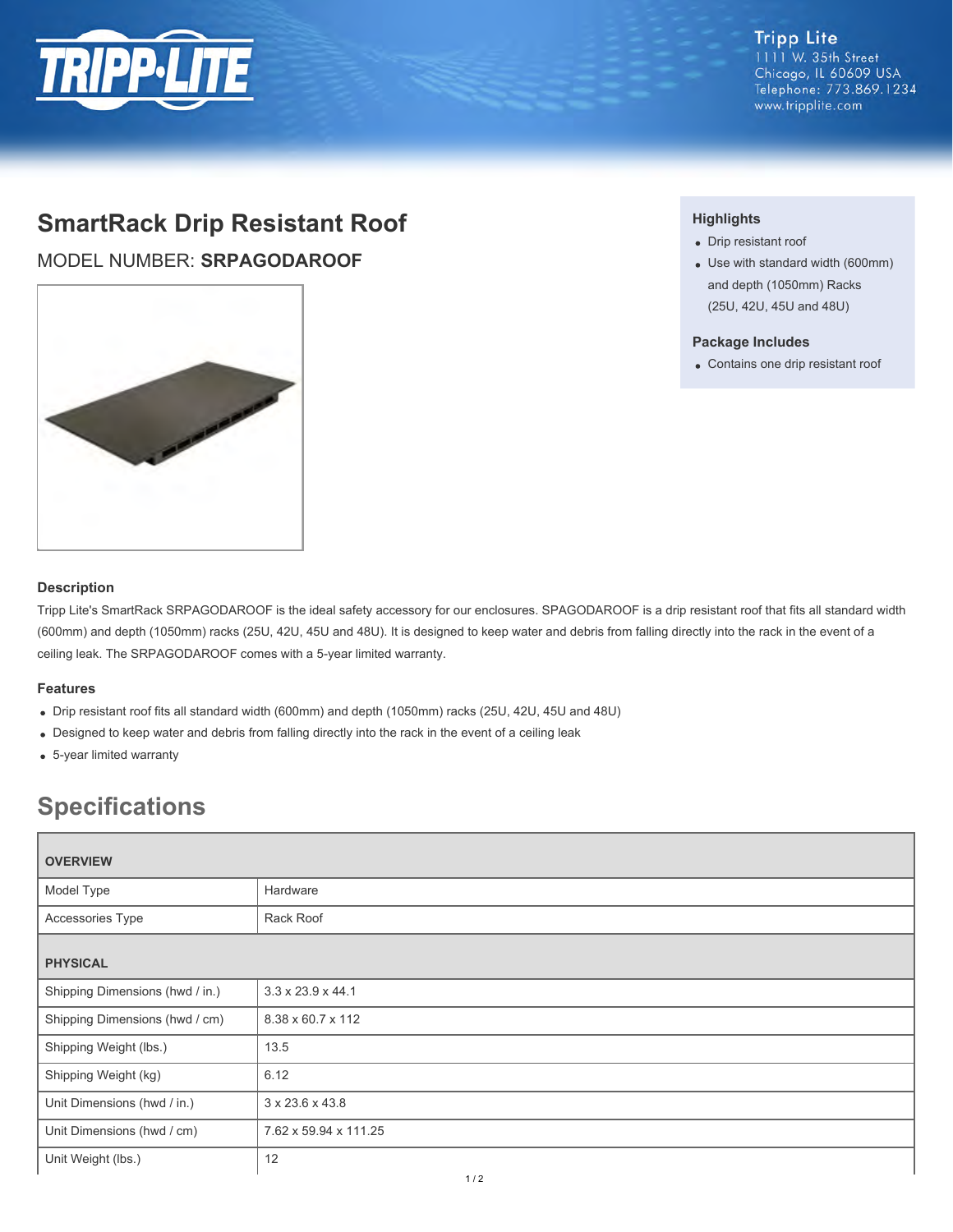

# **SmartRack Drip Resistant Roof**

MODEL NUMBER: **SRPAGODAROOF**



#### **Highlights**

- Drip resistant roof
- Use with standard width (600mm) and depth (1050mm) Racks (25U, 42U, 45U and 48U)

### **Package Includes**

Contains one drip resistant roof

## **Description**

Tripp Lite's SmartRack SRPAGODAROOF is the ideal safety accessory for our enclosures. SPAGODAROOF is a drip resistant roof that fits all standard width (600mm) and depth (1050mm) racks (25U, 42U, 45U and 48U). It is designed to keep water and debris from falling directly into the rack in the event of a ceiling leak. The SRPAGODAROOF comes with a 5-year limited warranty.

#### **Features**

- Drip resistant roof fits all standard width (600mm) and depth (1050mm) racks (25U, 42U, 45U and 48U)
- Designed to keep water and debris from falling directly into the rack in the event of a ceiling leak
- 5-year limited warranty

## **Specifications**

| <b>OVERVIEW</b>                 |                               |  |
|---------------------------------|-------------------------------|--|
| Model Type                      | Hardware                      |  |
| Accessories Type                | Rack Roof                     |  |
| <b>PHYSICAL</b>                 |                               |  |
| Shipping Dimensions (hwd / in.) | $3.3 \times 23.9 \times 44.1$ |  |
| Shipping Dimensions (hwd / cm)  | 8.38 x 60.7 x 112             |  |
| Shipping Weight (lbs.)          | 13.5                          |  |
| Shipping Weight (kg)            | 6.12                          |  |
| Unit Dimensions (hwd / in.)     | 3 x 23.6 x 43.8               |  |
| Unit Dimensions (hwd / cm)      | 7.62 x 59.94 x 111.25         |  |
| Unit Weight (lbs.)              | 12                            |  |